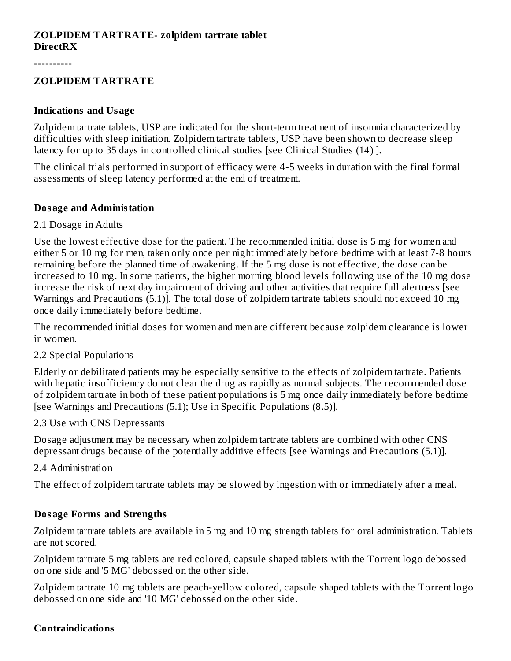#### **ZOLPIDEM TARTRATE- zolpidem tartrate tablet DirectRX**

----------

#### **ZOLPIDEM TARTRATE**

#### **Indications and Usage**

Zolpidem tartrate tablets, USP are indicated for the short-term treatment of insomnia characterized by difficulties with sleep initiation. Zolpidem tartrate tablets, USP have been shown to decrease sleep latency for up to 35 days in controlled clinical studies [see Clinical Studies (14) ].

The clinical trials performed in support of efficacy were 4-5 weeks in duration with the final formal assessments of sleep latency performed at the end of treatment.

#### **Dosage and Administation**

#### 2.1 Dosage in Adults

Use the lowest effective dose for the patient. The recommended initial dose is 5 mg for women and either 5 or 10 mg for men, taken only once per night immediately before bedtime with at least 7-8 hours remaining before the planned time of awakening. If the 5 mg dose is not effective, the dose can be increased to 10 mg. In some patients, the higher morning blood levels following use of the 10 mg dose increase the risk of next day impairment of driving and other activities that require full alertness [see Warnings and Precautions (5.1)]. The total dose of zolpidem tartrate tablets should not exceed 10 mg once daily immediately before bedtime.

The recommended initial doses for women and men are different because zolpidem clearance is lower in women.

#### 2.2 Special Populations

Elderly or debilitated patients may be especially sensitive to the effects of zolpidem tartrate. Patients with hepatic insufficiency do not clear the drug as rapidly as normal subjects. The recommended dose of zolpidem tartrate in both of these patient populations is 5 mg once daily immediately before bedtime [see Warnings and Precautions (5.1); Use in Specific Populations (8.5)].

#### 2.3 Use with CNS Depressants

Dosage adjustment may be necessary when zolpidem tartrate tablets are combined with other CNS depressant drugs because of the potentially additive effects [see Warnings and Precautions (5.1)].

2.4 Administration

The effect of zolpidem tartrate tablets may be slowed by ingestion with or immediately after a meal.

#### **Dosage Forms and Strengths**

Zolpidem tartrate tablets are available in 5 mg and 10 mg strength tablets for oral administration. Tablets are not scored.

Zolpidem tartrate 5 mg tablets are red colored, capsule shaped tablets with the Torrent logo debossed on one side and '5 MG' debossed on the other side.

Zolpidem tartrate 10 mg tablets are peach-yellow colored, capsule shaped tablets with the Torrent logo debossed on one side and '10 MG' debossed on the other side.

#### **Contraindications**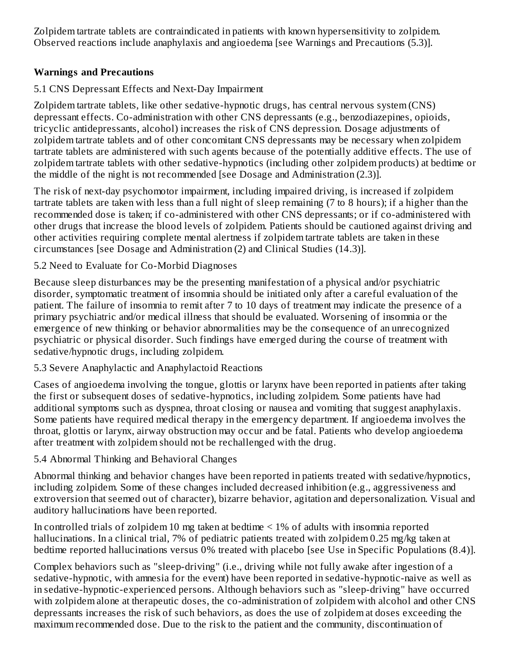Zolpidem tartrate tablets are contraindicated in patients with known hypersensitivity to zolpidem. Observed reactions include anaphylaxis and angioedema [see Warnings and Precautions (5.3)].

# **Warnings and Precautions**

# 5.1 CNS Depressant Effects and Next-Day Impairment

Zolpidem tartrate tablets, like other sedative-hypnotic drugs, has central nervous system (CNS) depressant effects. Co-administration with other CNS depressants (e.g., benzodiazepines, opioids, tricyclic antidepressants, alcohol) increases the risk of CNS depression. Dosage adjustments of zolpidem tartrate tablets and of other concomitant CNS depressants may be necessary when zolpidem tartrate tablets are administered with such agents because of the potentially additive effects. The use of zolpidem tartrate tablets with other sedative-hypnotics (including other zolpidem products) at bedtime or the middle of the night is not recommended [see Dosage and Administration (2.3)].

The risk of next-day psychomotor impairment, including impaired driving, is increased if zolpidem tartrate tablets are taken with less than a full night of sleep remaining (7 to 8 hours); if a higher than the recommended dose is taken; if co-administered with other CNS depressants; or if co-administered with other drugs that increase the blood levels of zolpidem. Patients should be cautioned against driving and other activities requiring complete mental alertness if zolpidem tartrate tablets are taken in these circumstances [see Dosage and Administration (2) and Clinical Studies (14.3)].

5.2 Need to Evaluate for Co-Morbid Diagnoses

Because sleep disturbances may be the presenting manifestation of a physical and/or psychiatric disorder, symptomatic treatment of insomnia should be initiated only after a careful evaluation of the patient. The failure of insomnia to remit after 7 to 10 days of treatment may indicate the presence of a primary psychiatric and/or medical illness that should be evaluated. Worsening of insomnia or the emergence of new thinking or behavior abnormalities may be the consequence of an unrecognized psychiatric or physical disorder. Such findings have emerged during the course of treatment with sedative/hypnotic drugs, including zolpidem.

# 5.3 Severe Anaphylactic and Anaphylactoid Reactions

Cases of angioedema involving the tongue, glottis or larynx have been reported in patients after taking the first or subsequent doses of sedative-hypnotics, including zolpidem. Some patients have had additional symptoms such as dyspnea, throat closing or nausea and vomiting that suggest anaphylaxis. Some patients have required medical therapy in the emergency department. If angioedema involves the throat, glottis or larynx, airway obstruction may occur and be fatal. Patients who develop angioedema after treatment with zolpidem should not be rechallenged with the drug.

5.4 Abnormal Thinking and Behavioral Changes

Abnormal thinking and behavior changes have been reported in patients treated with sedative/hypnotics, including zolpidem. Some of these changes included decreased inhibition (e.g., aggressiveness and extroversion that seemed out of character), bizarre behavior, agitation and depersonalization. Visual and auditory hallucinations have been reported.

In controlled trials of zolpidem 10 mg taken at bedtime  $\leq$  1% of adults with insomnia reported hallucinations. In a clinical trial, 7% of pediatric patients treated with zolpidem 0.25 mg/kg taken at bedtime reported hallucinations versus 0% treated with placebo [see Use in Specific Populations (8.4)].

Complex behaviors such as "sleep-driving" (i.e., driving while not fully awake after ingestion of a sedative-hypnotic, with amnesia for the event) have been reported in sedative-hypnotic-naive as well as in sedative-hypnotic-experienced persons. Although behaviors such as "sleep-driving" have occurred with zolpidem alone at therapeutic doses, the co-administration of zolpidem with alcohol and other CNS depressants increases the risk of such behaviors, as does the use of zolpidem at doses exceeding the maximum recommended dose. Due to the risk to the patient and the community, discontinuation of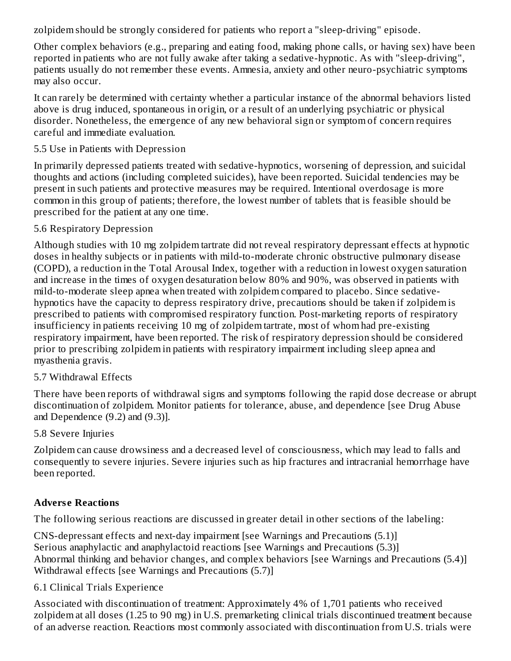zolpidem should be strongly considered for patients who report a "sleep-driving" episode.

Other complex behaviors (e.g., preparing and eating food, making phone calls, or having sex) have been reported in patients who are not fully awake after taking a sedative-hypnotic. As with "sleep-driving", patients usually do not remember these events. Amnesia, anxiety and other neuro-psychiatric symptoms may also occur.

It can rarely be determined with certainty whether a particular instance of the abnormal behaviors listed above is drug induced, spontaneous in origin, or a result of an underlying psychiatric or physical disorder. Nonetheless, the emergence of any new behavioral sign or symptom of concern requires careful and immediate evaluation.

#### 5.5 Use in Patients with Depression

In primarily depressed patients treated with sedative-hypnotics, worsening of depression, and suicidal thoughts and actions (including completed suicides), have been reported. Suicidal tendencies may be present in such patients and protective measures may be required. Intentional overdosage is more common in this group of patients; therefore, the lowest number of tablets that is feasible should be prescribed for the patient at any one time.

### 5.6 Respiratory Depression

Although studies with 10 mg zolpidem tartrate did not reveal respiratory depressant effects at hypnotic doses in healthy subjects or in patients with mild-to-moderate chronic obstructive pulmonary disease (COPD), a reduction in the Total Arousal Index, together with a reduction in lowest oxygen saturation and increase in the times of oxygen desaturation below 80% and 90%, was observed in patients with mild-to-moderate sleep apnea when treated with zolpidem compared to placebo. Since sedativehypnotics have the capacity to depress respiratory drive, precautions should be taken if zolpidem is prescribed to patients with compromised respiratory function. Post-marketing reports of respiratory insufficiency in patients receiving 10 mg of zolpidem tartrate, most of whom had pre-existing respiratory impairment, have been reported. The risk of respiratory depression should be considered prior to prescribing zolpidem in patients with respiratory impairment including sleep apnea and myasthenia gravis.

### 5.7 Withdrawal Effects

There have been reports of withdrawal signs and symptoms following the rapid dose decrease or abrupt discontinuation of zolpidem. Monitor patients for tolerance, abuse, and dependence [see Drug Abuse and Dependence (9.2) and (9.3)].

### 5.8 Severe Injuries

Zolpidem can cause drowsiness and a decreased level of consciousness, which may lead to falls and consequently to severe injuries. Severe injuries such as hip fractures and intracranial hemorrhage have been reported.

### **Advers e Reactions**

The following serious reactions are discussed in greater detail in other sections of the labeling:

CNS-depressant effects and next-day impairment [see Warnings and Precautions (5.1)] Serious anaphylactic and anaphylactoid reactions [see Warnings and Precautions (5.3)] Abnormal thinking and behavior changes, and complex behaviors [see Warnings and Precautions (5.4)] Withdrawal effects [see Warnings and Precautions (5.7)]

### 6.1 Clinical Trials Experience

Associated with discontinuation of treatment: Approximately 4% of 1,701 patients who received zolpidem at all doses (1.25 to 90 mg) in U.S. premarketing clinical trials discontinued treatment because of an adverse reaction. Reactions most commonly associated with discontinuation from U.S. trials were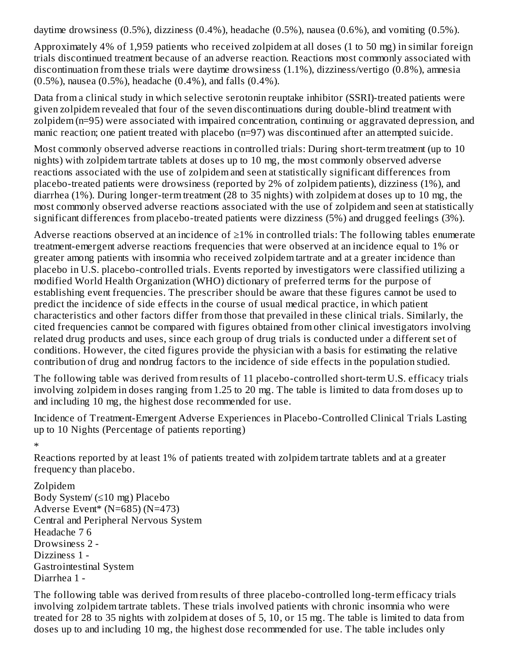daytime drowsiness (0.5%), dizziness (0.4%), headache (0.5%), nausea (0.6%), and vomiting (0.5%).

Approximately 4% of 1,959 patients who received zolpidem at all doses (1 to 50 mg) in similar foreign trials discontinued treatment because of an adverse reaction. Reactions most commonly associated with discontinuation from these trials were daytime drowsiness (1.1%), dizziness/vertigo (0.8%), amnesia (0.5%), nausea (0.5%), headache (0.4%), and falls (0.4%).

Data from a clinical study in which selective serotonin reuptake inhibitor (SSRI)-treated patients were given zolpidem revealed that four of the seven discontinuations during double-blind treatment with zolpidem (n=95) were associated with impaired concentration, continuing or aggravated depression, and manic reaction; one patient treated with placebo (n=97) was discontinued after an attempted suicide.

Most commonly observed adverse reactions in controlled trials: During short-term treatment (up to 10 nights) with zolpidem tartrate tablets at doses up to 10 mg, the most commonly observed adverse reactions associated with the use of zolpidem and seen at statistically significant differences from placebo-treated patients were drowsiness (reported by 2% of zolpidem patients), dizziness (1%), and diarrhea (1%). During longer-term treatment (28 to 35 nights) with zolpidem at doses up to 10 mg, the most commonly observed adverse reactions associated with the use of zolpidem and seen at statistically significant differences from placebo-treated patients were dizziness (5%) and drugged feelings (3%).

Adverse reactions observed at an incidence of  $\geq$ 1% in controlled trials: The following tables enumerate treatment-emergent adverse reactions frequencies that were observed at an incidence equal to 1% or greater among patients with insomnia who received zolpidem tartrate and at a greater incidence than placebo in U.S. placebo-controlled trials. Events reported by investigators were classified utilizing a modified World Health Organization (WHO) dictionary of preferred terms for the purpose of establishing event frequencies. The prescriber should be aware that these figures cannot be used to predict the incidence of side effects in the course of usual medical practice, in which patient characteristics and other factors differ from those that prevailed in these clinical trials. Similarly, the cited frequencies cannot be compared with figures obtained from other clinical investigators involving related drug products and uses, since each group of drug trials is conducted under a different set of conditions. However, the cited figures provide the physician with a basis for estimating the relative contribution of drug and nondrug factors to the incidence of side effects in the population studied.

The following table was derived from results of 11 placebo-controlled short-term U.S. efficacy trials involving zolpidem in doses ranging from 1.25 to 20 mg. The table is limited to data from doses up to and including 10 mg, the highest dose recommended for use.

Incidence of Treatment-Emergent Adverse Experiences in Placebo-Controlled Clinical Trials Lasting up to 10 Nights (Percentage of patients reporting)

\*

Reactions reported by at least 1% of patients treated with zolpidem tartrate tablets and at a greater frequency than placebo.

Zolpidem Body System/ (≤10 mg) Placebo Adverse Event\* (N=685) (N=473) Central and Peripheral Nervous System Headache 7 6 Drowsiness 2 - Dizziness 1 - Gastrointestinal System Diarrhea 1 -

The following table was derived from results of three placebo-controlled long-term efficacy trials involving zolpidem tartrate tablets. These trials involved patients with chronic insomnia who were treated for 28 to 35 nights with zolpidem at doses of 5, 10, or 15 mg. The table is limited to data from doses up to and including 10 mg, the highest dose recommended for use. The table includes only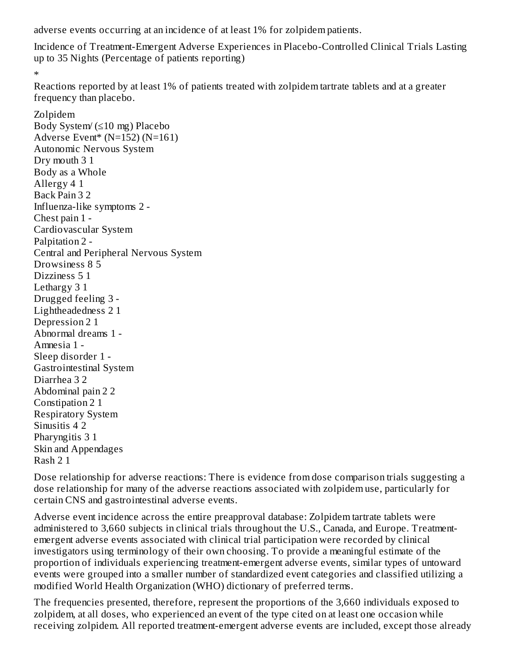adverse events occurring at an incidence of at least 1% for zolpidem patients.

Incidence of Treatment-Emergent Adverse Experiences in Placebo-Controlled Clinical Trials Lasting up to 35 Nights (Percentage of patients reporting)

\*

Reactions reported by at least 1% of patients treated with zolpidem tartrate tablets and at a greater frequency than placebo.

Zolpidem Body System/ (≤10 mg) Placebo Adverse Event\* (N=152) (N=161) Autonomic Nervous System Dry mouth 3 1 Body as a Whole Allergy 4 1 Back Pain 3 2 Influenza-like symptoms 2 - Chest pain 1 - Cardiovascular System Palpitation 2 - Central and Peripheral Nervous System Drowsiness 8 5 Dizziness 5 1 Lethargy 3 1 Drugged feeling 3 - Lightheadedness 2 1 Depression 2 1 Abnormal dreams 1 - Amnesia 1 - Sleep disorder 1 - Gastrointestinal System Diarrhea 3 2 Abdominal pain 2 2 Constipation 2 1 Respiratory System Sinusitis 4 2 Pharyngitis 3 1 Skin and Appendages Rash 2 1

Dose relationship for adverse reactions: There is evidence from dose comparison trials suggesting a dose relationship for many of the adverse reactions associated with zolpidem use, particularly for certain CNS and gastrointestinal adverse events.

Adverse event incidence across the entire preapproval database: Zolpidem tartrate tablets were administered to 3,660 subjects in clinical trials throughout the U.S., Canada, and Europe. Treatmentemergent adverse events associated with clinical trial participation were recorded by clinical investigators using terminology of their own choosing. To provide a meaningful estimate of the proportion of individuals experiencing treatment-emergent adverse events, similar types of untoward events were grouped into a smaller number of standardized event categories and classified utilizing a modified World Health Organization (WHO) dictionary of preferred terms.

The frequencies presented, therefore, represent the proportions of the 3,660 individuals exposed to zolpidem, at all doses, who experienced an event of the type cited on at least one occasion while receiving zolpidem. All reported treatment-emergent adverse events are included, except those already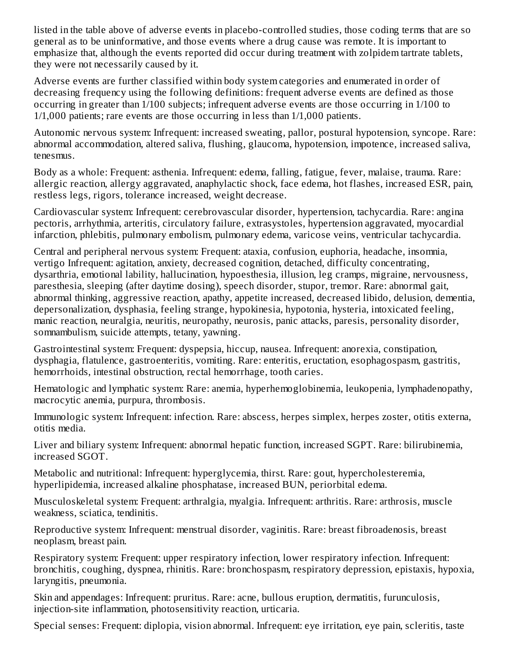listed in the table above of adverse events in placebo-controlled studies, those coding terms that are so general as to be uninformative, and those events where a drug cause was remote. It is important to emphasize that, although the events reported did occur during treatment with zolpidem tartrate tablets, they were not necessarily caused by it.

Adverse events are further classified within body system categories and enumerated in order of decreasing frequency using the following definitions: frequent adverse events are defined as those occurring in greater than 1/100 subjects; infrequent adverse events are those occurring in 1/100 to 1/1,000 patients; rare events are those occurring in less than 1/1,000 patients.

Autonomic nervous system: Infrequent: increased sweating, pallor, postural hypotension, syncope. Rare: abnormal accommodation, altered saliva, flushing, glaucoma, hypotension, impotence, increased saliva, tenesmus.

Body as a whole: Frequent: asthenia. Infrequent: edema, falling, fatigue, fever, malaise, trauma. Rare: allergic reaction, allergy aggravated, anaphylactic shock, face edema, hot flashes, increased ESR, pain, restless legs, rigors, tolerance increased, weight decrease.

Cardiovascular system: Infrequent: cerebrovascular disorder, hypertension, tachycardia. Rare: angina pectoris, arrhythmia, arteritis, circulatory failure, extrasystoles, hypertension aggravated, myocardial infarction, phlebitis, pulmonary embolism, pulmonary edema, varicose veins, ventricular tachycardia.

Central and peripheral nervous system: Frequent: ataxia, confusion, euphoria, headache, insomnia, vertigo Infrequent: agitation, anxiety, decreased cognition, detached, difficulty concentrating, dysarthria, emotional lability, hallucination, hypoesthesia, illusion, leg cramps, migraine, nervousness, paresthesia, sleeping (after daytime dosing), speech disorder, stupor, tremor. Rare: abnormal gait, abnormal thinking, aggressive reaction, apathy, appetite increased, decreased libido, delusion, dementia, depersonalization, dysphasia, feeling strange, hypokinesia, hypotonia, hysteria, intoxicated feeling, manic reaction, neuralgia, neuritis, neuropathy, neurosis, panic attacks, paresis, personality disorder, somnambulism, suicide attempts, tetany, yawning.

Gastrointestinal system: Frequent: dyspepsia, hiccup, nausea. Infrequent: anorexia, constipation, dysphagia, flatulence, gastroenteritis, vomiting. Rare: enteritis, eructation, esophagospasm, gastritis, hemorrhoids, intestinal obstruction, rectal hemorrhage, tooth caries.

Hematologic and lymphatic system: Rare: anemia, hyperhemoglobinemia, leukopenia, lymphadenopathy, macrocytic anemia, purpura, thrombosis.

Immunologic system: Infrequent: infection. Rare: abscess, herpes simplex, herpes zoster, otitis externa, otitis media.

Liver and biliary system: Infrequent: abnormal hepatic function, increased SGPT. Rare: bilirubinemia, increased SGOT.

Metabolic and nutritional: Infrequent: hyperglycemia, thirst. Rare: gout, hypercholesteremia, hyperlipidemia, increased alkaline phosphatase, increased BUN, periorbital edema.

Musculoskeletal system: Frequent: arthralgia, myalgia. Infrequent: arthritis. Rare: arthrosis, muscle weakness, sciatica, tendinitis.

Reproductive system: Infrequent: menstrual disorder, vaginitis. Rare: breast fibroadenosis, breast neoplasm, breast pain.

Respiratory system: Frequent: upper respiratory infection, lower respiratory infection. Infrequent: bronchitis, coughing, dyspnea, rhinitis. Rare: bronchospasm, respiratory depression, epistaxis, hypoxia, laryngitis, pneumonia.

Skin and appendages: Infrequent: pruritus. Rare: acne, bullous eruption, dermatitis, furunculosis, injection-site inflammation, photosensitivity reaction, urticaria.

Special senses: Frequent: diplopia, vision abnormal. Infrequent: eye irritation, eye pain, scleritis, taste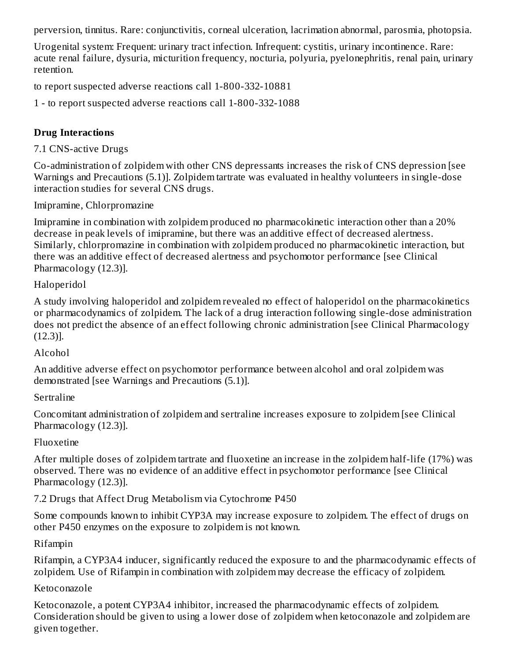perversion, tinnitus. Rare: conjunctivitis, corneal ulceration, lacrimation abnormal, parosmia, photopsia.

Urogenital system: Frequent: urinary tract infection. Infrequent: cystitis, urinary incontinence. Rare: acute renal failure, dysuria, micturition frequency, nocturia, polyuria, pyelonephritis, renal pain, urinary retention.

to report suspected adverse reactions call 1-800-332-10881

1 - to report suspected adverse reactions call 1-800-332-1088

# **Drug Interactions**

7.1 CNS-active Drugs

Co-administration of zolpidem with other CNS depressants increases the risk of CNS depression [see Warnings and Precautions (5.1)]. Zolpidem tartrate was evaluated in healthy volunteers in single-dose interaction studies for several CNS drugs.

Imipramine, Chlorpromazine

Imipramine in combination with zolpidem produced no pharmacokinetic interaction other than a 20% decrease in peak levels of imipramine, but there was an additive effect of decreased alertness. Similarly, chlorpromazine in combination with zolpidem produced no pharmacokinetic interaction, but there was an additive effect of decreased alertness and psychomotor performance [see Clinical Pharmacology (12.3)].

#### Haloperidol

A study involving haloperidol and zolpidem revealed no effect of haloperidol on the pharmacokinetics or pharmacodynamics of zolpidem. The lack of a drug interaction following single-dose administration does not predict the absence of an effect following chronic administration [see Clinical Pharmacology (12.3)].

#### Alcohol

An additive adverse effect on psychomotor performance between alcohol and oral zolpidem was demonstrated [see Warnings and Precautions (5.1)].

#### **Sertraline**

Concomitant administration of zolpidem and sertraline increases exposure to zolpidem [see Clinical Pharmacology (12.3)].

#### Fluoxetine

After multiple doses of zolpidem tartrate and fluoxetine an increase in the zolpidem half-life (17%) was observed. There was no evidence of an additive effect in psychomotor performance [see Clinical Pharmacology (12.3)].

7.2 Drugs that Affect Drug Metabolism via Cytochrome P450

Some compounds known to inhibit CYP3A may increase exposure to zolpidem. The effect of drugs on other P450 enzymes on the exposure to zolpidem is not known.

#### Rifampin

Rifampin, a CYP3A4 inducer, significantly reduced the exposure to and the pharmacodynamic effects of zolpidem. Use of Rifampin in combination with zolpidem may decrease the efficacy of zolpidem.

#### Ketoconazole

Ketoconazole, a potent CYP3A4 inhibitor, increased the pharmacodynamic effects of zolpidem. Consideration should be given to using a lower dose of zolpidem when ketoconazole and zolpidem are given together.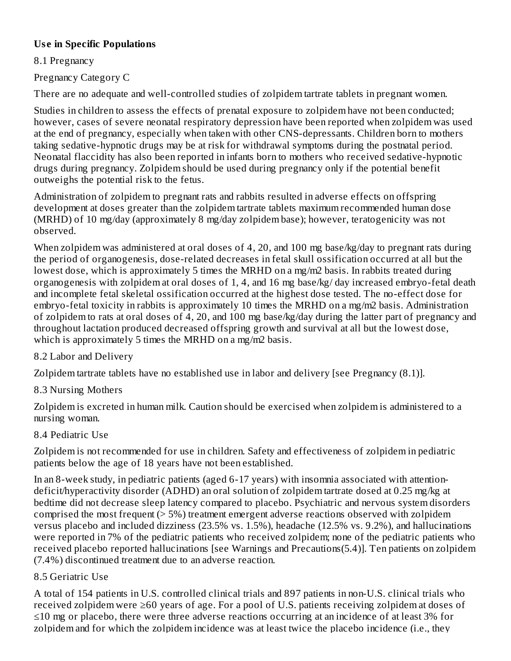# **Us e in Specific Populations**

8.1 Pregnancy

Pregnancy Category C

There are no adequate and well-controlled studies of zolpidem tartrate tablets in pregnant women.

Studies in children to assess the effects of prenatal exposure to zolpidem have not been conducted; however, cases of severe neonatal respiratory depression have been reported when zolpidem was used at the end of pregnancy, especially when taken with other CNS-depressants. Children born to mothers taking sedative-hypnotic drugs may be at risk for withdrawal symptoms during the postnatal period. Neonatal flaccidity has also been reported in infants born to mothers who received sedative-hypnotic drugs during pregnancy. Zolpidem should be used during pregnancy only if the potential benefit outweighs the potential risk to the fetus.

Administration of zolpidem to pregnant rats and rabbits resulted in adverse effects on offspring development at doses greater than the zolpidem tartrate tablets maximum recommended human dose (MRHD) of 10 mg/day (approximately 8 mg/day zolpidem base); however, teratogenicity was not observed.

When zolpidem was administered at oral doses of 4, 20, and 100 mg base/kg/day to pregnant rats during the period of organogenesis, dose-related decreases in fetal skull ossification occurred at all but the lowest dose, which is approximately 5 times the MRHD on a mg/m2 basis. In rabbits treated during organogenesis with zolpidem at oral doses of 1, 4, and 16 mg base/kg/ day increased embryo-fetal death and incomplete fetal skeletal ossification occurred at the highest dose tested. The no-effect dose for embryo-fetal toxicity in rabbits is approximately 10 times the MRHD on a mg/m2 basis. Administration of zolpidem to rats at oral doses of 4, 20, and 100 mg base/kg/day during the latter part of pregnancy and throughout lactation produced decreased offspring growth and survival at all but the lowest dose, which is approximately 5 times the MRHD on a mg/m2 basis.

### 8.2 Labor and Delivery

Zolpidem tartrate tablets have no established use in labor and delivery [see Pregnancy (8.1)].

# 8.3 Nursing Mothers

Zolpidem is excreted in human milk. Caution should be exercised when zolpidem is administered to a nursing woman.

# 8.4 Pediatric Use

Zolpidem is not recommended for use in children. Safety and effectiveness of zolpidem in pediatric patients below the age of 18 years have not been established.

In an 8-week study, in pediatric patients (aged 6-17 years) with insomnia associated with attentiondeficit/hyperactivity disorder (ADHD) an oral solution of zolpidem tartrate dosed at 0.25 mg/kg at bedtime did not decrease sleep latency compared to placebo. Psychiatric and nervous system disorders comprised the most frequent (> 5%) treatment emergent adverse reactions observed with zolpidem versus placebo and included dizziness (23.5% vs. 1.5%), headache (12.5% vs. 9.2%), and hallucinations were reported in 7% of the pediatric patients who received zolpidem; none of the pediatric patients who received placebo reported hallucinations [see Warnings and Precautions(5.4)]. Ten patients on zolpidem (7.4%) discontinued treatment due to an adverse reaction.

### 8.5 Geriatric Use

A total of 154 patients in U.S. controlled clinical trials and 897 patients in non-U.S. clinical trials who received zolpidem were ≥60 years of age. For a pool of U.S. patients receiving zolpidem at doses of ≤10 mg or placebo, there were three adverse reactions occurring at an incidence of at least 3% for zolpidem and for which the zolpidem incidence was at least twice the placebo incidence (i.e., they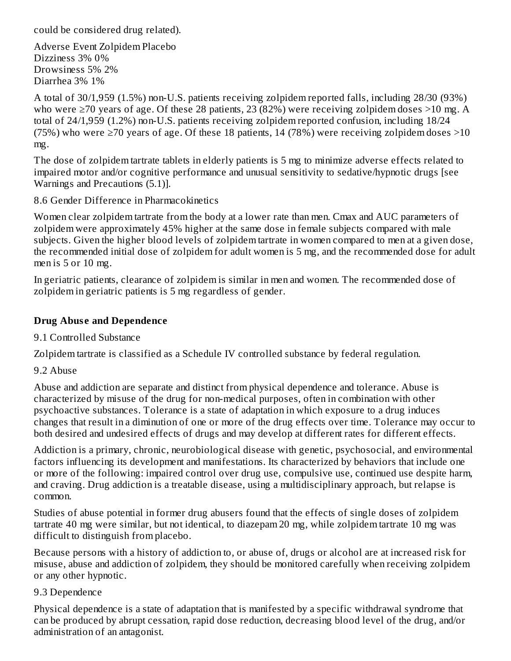could be considered drug related).

Adverse Event Zolpidem Placebo Dizziness 3% 0% Drowsiness 5% 2% Diarrhea 3% 1%

A total of 30/1,959 (1.5%) non-U.S. patients receiving zolpidem reported falls, including 28/30 (93%) who were ≥70 years of age. Of these 28 patients, 23 (82%) were receiving zolpidem doses >10 mg. A total of 24/1,959 (1.2%) non-U.S. patients receiving zolpidem reported confusion, including 18/24 (75%) who were  $\geq$ 70 years of age. Of these 18 patients, 14 (78%) were receiving zolpidem doses  $>$ 10 mg.

The dose of zolpidem tartrate tablets in elderly patients is 5 mg to minimize adverse effects related to impaired motor and/or cognitive performance and unusual sensitivity to sedative/hypnotic drugs [see Warnings and Precautions (5.1)].

8.6 Gender Difference in Pharmacokinetics

Women clear zolpidem tartrate from the body at a lower rate than men. Cmax and AUC parameters of zolpidem were approximately 45% higher at the same dose in female subjects compared with male subjects. Given the higher blood levels of zolpidem tartrate in women compared to men at a given dose, the recommended initial dose of zolpidem for adult women is 5 mg, and the recommended dose for adult men is 5 or 10 mg.

In geriatric patients, clearance of zolpidem is similar in men and women. The recommended dose of zolpidem in geriatric patients is 5 mg regardless of gender.

### **Drug Abus e and Dependence**

9.1 Controlled Substance

Zolpidem tartrate is classified as a Schedule IV controlled substance by federal regulation.

9.2 Abuse

Abuse and addiction are separate and distinct from physical dependence and tolerance. Abuse is characterized by misuse of the drug for non-medical purposes, often in combination with other psychoactive substances. Tolerance is a state of adaptation in which exposure to a drug induces changes that result in a diminution of one or more of the drug effects over time. Tolerance may occur to both desired and undesired effects of drugs and may develop at different rates for different effects.

Addiction is a primary, chronic, neurobiological disease with genetic, psychosocial, and environmental factors influencing its development and manifestations. Its characterized by behaviors that include one or more of the following: impaired control over drug use, compulsive use, continued use despite harm, and craving. Drug addiction is a treatable disease, using a multidisciplinary approach, but relapse is common.

Studies of abuse potential in former drug abusers found that the effects of single doses of zolpidem tartrate 40 mg were similar, but not identical, to diazepam 20 mg, while zolpidem tartrate 10 mg was difficult to distinguish from placebo.

Because persons with a history of addiction to, or abuse of, drugs or alcohol are at increased risk for misuse, abuse and addiction of zolpidem, they should be monitored carefully when receiving zolpidem or any other hypnotic.

#### 9.3 Dependence

Physical dependence is a state of adaptation that is manifested by a specific withdrawal syndrome that can be produced by abrupt cessation, rapid dose reduction, decreasing blood level of the drug, and/or administration of an antagonist.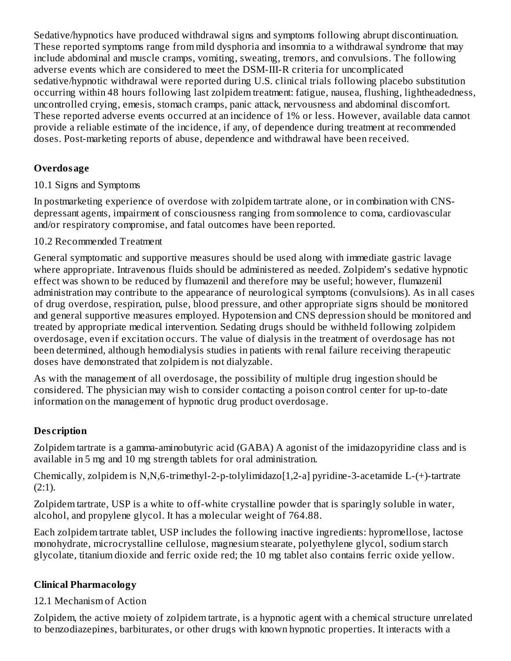Sedative/hypnotics have produced withdrawal signs and symptoms following abrupt discontinuation. These reported symptoms range from mild dysphoria and insomnia to a withdrawal syndrome that may include abdominal and muscle cramps, vomiting, sweating, tremors, and convulsions. The following adverse events which are considered to meet the DSM-III-R criteria for uncomplicated sedative/hypnotic withdrawal were reported during U.S. clinical trials following placebo substitution occurring within 48 hours following last zolpidem treatment: fatigue, nausea, flushing, lightheadedness, uncontrolled crying, emesis, stomach cramps, panic attack, nervousness and abdominal discomfort. These reported adverse events occurred at an incidence of 1% or less. However, available data cannot provide a reliable estimate of the incidence, if any, of dependence during treatment at recommended doses. Post-marketing reports of abuse, dependence and withdrawal have been received.

### **Overdosage**

#### 10.1 Signs and Symptoms

In postmarketing experience of overdose with zolpidem tartrate alone, or in combination with CNSdepressant agents, impairment of consciousness ranging from somnolence to coma, cardiovascular and/or respiratory compromise, and fatal outcomes have been reported.

#### 10.2 Recommended Treatment

General symptomatic and supportive measures should be used along with immediate gastric lavage where appropriate. Intravenous fluids should be administered as needed. Zolpidem's sedative hypnotic effect was shown to be reduced by flumazenil and therefore may be useful; however, flumazenil administration may contribute to the appearance of neurological symptoms (convulsions). As in all cases of drug overdose, respiration, pulse, blood pressure, and other appropriate signs should be monitored and general supportive measures employed. Hypotension and CNS depression should be monitored and treated by appropriate medical intervention. Sedating drugs should be withheld following zolpidem overdosage, even if excitation occurs. The value of dialysis in the treatment of overdosage has not been determined, although hemodialysis studies in patients with renal failure receiving therapeutic doses have demonstrated that zolpidem is not dialyzable.

As with the management of all overdosage, the possibility of multiple drug ingestion should be considered. The physician may wish to consider contacting a poison control center for up-to-date information on the management of hypnotic drug product overdosage.

#### **Des cription**

Zolpidem tartrate is a gamma-aminobutyric acid (GABA) A agonist of the imidazopyridine class and is available in 5 mg and 10 mg strength tablets for oral administration.

Chemically, zolpidem is N,N,6-trimethyl-2-p-tolylimidazo[1,2-a] pyridine-3-acetamide L-(+)-tartrate (2:1).

Zolpidem tartrate, USP is a white to off-white crystalline powder that is sparingly soluble in water, alcohol, and propylene glycol. It has a molecular weight of 764.88.

Each zolpidem tartrate tablet, USP includes the following inactive ingredients: hypromellose, lactose monohydrate, microcrystalline cellulose, magnesium stearate, polyethylene glycol, sodium starch glycolate, titanium dioxide and ferric oxide red; the 10 mg tablet also contains ferric oxide yellow.

#### **Clinical Pharmacology**

#### 12.1 Mechanism of Action

Zolpidem, the active moiety of zolpidem tartrate, is a hypnotic agent with a chemical structure unrelated to benzodiazepines, barbiturates, or other drugs with known hypnotic properties. It interacts with a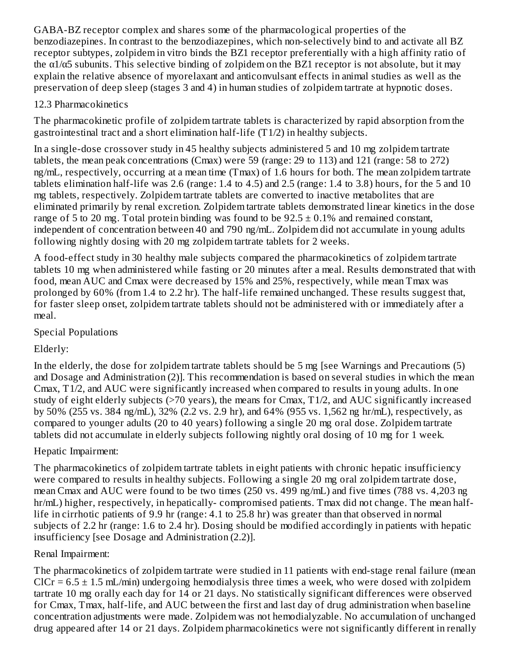GABA-BZ receptor complex and shares some of the pharmacological properties of the benzodiazepines. In contrast to the benzodiazepines, which non-selectively bind to and activate all BZ receptor subtypes, zolpidem in vitro binds the BZ1 receptor preferentially with a high affinity ratio of the  $\alpha$ 1/ $\alpha$ 5 subunits. This selective binding of zolpidem on the BZ1 receptor is not absolute, but it may explain the relative absence of myorelaxant and anticonvulsant effects in animal studies as well as the preservation of deep sleep (stages 3 and 4) in human studies of zolpidem tartrate at hypnotic doses.

### 12.3 Pharmacokinetics

The pharmacokinetic profile of zolpidem tartrate tablets is characterized by rapid absorption from the gastrointestinal tract and a short elimination half-life (T1/2) in healthy subjects.

In a single-dose crossover study in 45 healthy subjects administered 5 and 10 mg zolpidem tartrate tablets, the mean peak concentrations (Cmax) were 59 (range: 29 to 113) and 121 (range: 58 to 272) ng/mL, respectively, occurring at a mean time (Tmax) of 1.6 hours for both. The mean zolpidem tartrate tablets elimination half-life was 2.6 (range: 1.4 to 4.5) and 2.5 (range: 1.4 to 3.8) hours, for the 5 and 10 mg tablets, respectively. Zolpidem tartrate tablets are converted to inactive metabolites that are eliminated primarily by renal excretion. Zolpidem tartrate tablets demonstrated linear kinetics in the dose range of 5 to 20 mg. Total protein binding was found to be  $92.5 \pm 0.1\%$  and remained constant, independent of concentration between 40 and 790 ng/mL. Zolpidem did not accumulate in young adults following nightly dosing with 20 mg zolpidem tartrate tablets for 2 weeks.

A food-effect study in 30 healthy male subjects compared the pharmacokinetics of zolpidem tartrate tablets 10 mg when administered while fasting or 20 minutes after a meal. Results demonstrated that with food, mean AUC and Cmax were decreased by 15% and 25%, respectively, while mean Tmax was prolonged by 60% (from 1.4 to 2.2 hr). The half-life remained unchanged. These results suggest that, for faster sleep onset, zolpidem tartrate tablets should not be administered with or immediately after a meal.

### Special Populations

### Elderly:

In the elderly, the dose for zolpidem tartrate tablets should be 5 mg [see Warnings and Precautions (5) and Dosage and Administration (2)]. This recommendation is based on several studies in which the mean Cmax, T1/2, and AUC were significantly increased when compared to results in young adults. In one study of eight elderly subjects (>70 years), the means for Cmax, T1/2, and AUC significantly increased by 50% (255 vs. 384 ng/mL), 32% (2.2 vs. 2.9 hr), and 64% (955 vs. 1,562 ng hr/mL), respectively, as compared to younger adults (20 to 40 years) following a single 20 mg oral dose. Zolpidem tartrate tablets did not accumulate in elderly subjects following nightly oral dosing of 10 mg for 1 week.

### Hepatic Impairment:

The pharmacokinetics of zolpidem tartrate tablets in eight patients with chronic hepatic insufficiency were compared to results in healthy subjects. Following a single 20 mg oral zolpidem tartrate dose, mean Cmax and AUC were found to be two times (250 vs. 499 ng/mL) and five times (788 vs. 4,203 ng hr/mL) higher, respectively, in hepatically- compromised patients. Tmax did not change. The mean halflife in cirrhotic patients of 9.9 hr (range: 4.1 to 25.8 hr) was greater than that observed in normal subjects of 2.2 hr (range: 1.6 to 2.4 hr). Dosing should be modified accordingly in patients with hepatic insufficiency [see Dosage and Administration (2.2)].

### Renal Impairment:

The pharmacokinetics of zolpidem tartrate were studied in 11 patients with end-stage renal failure (mean  $ClCr = 6.5 \pm 1.5$  mL/min) undergoing hemodialysis three times a week, who were dosed with zolpidem tartrate 10 mg orally each day for 14 or 21 days. No statistically significant differences were observed for Cmax, Tmax, half-life, and AUC between the first and last day of drug administration when baseline concentration adjustments were made. Zolpidem was not hemodialyzable. No accumulation of unchanged drug appeared after 14 or 21 days. Zolpidem pharmacokinetics were not significantly different in renally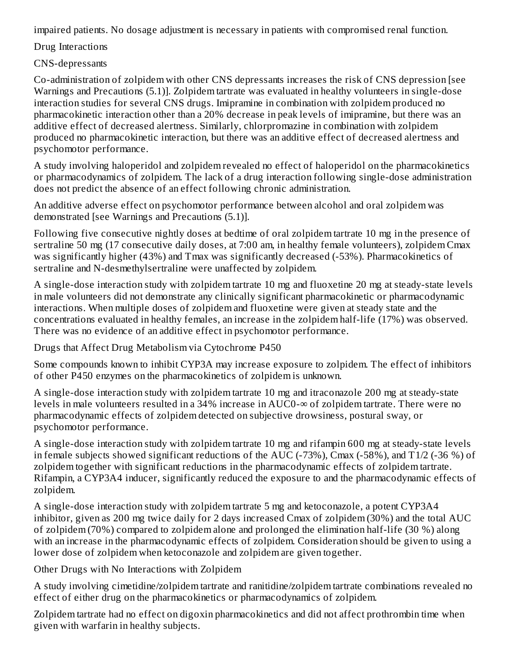impaired patients. No dosage adjustment is necessary in patients with compromised renal function.

Drug Interactions

CNS-depressants

Co-administration of zolpidem with other CNS depressants increases the risk of CNS depression [see Warnings and Precautions (5.1)]. Zolpidem tartrate was evaluated in healthy volunteers in single-dose interaction studies for several CNS drugs. Imipramine in combination with zolpidem produced no pharmacokinetic interaction other than a 20% decrease in peak levels of imipramine, but there was an additive effect of decreased alertness. Similarly, chlorpromazine in combination with zolpidem produced no pharmacokinetic interaction, but there was an additive effect of decreased alertness and psychomotor performance.

A study involving haloperidol and zolpidem revealed no effect of haloperidol on the pharmacokinetics or pharmacodynamics of zolpidem. The lack of a drug interaction following single-dose administration does not predict the absence of an effect following chronic administration.

An additive adverse effect on psychomotor performance between alcohol and oral zolpidem was demonstrated [see Warnings and Precautions (5.1)].

Following five consecutive nightly doses at bedtime of oral zolpidem tartrate 10 mg in the presence of sertraline 50 mg (17 consecutive daily doses, at 7:00 am, in healthy female volunteers), zolpidem Cmax was significantly higher (43%) and Tmax was significantly decreased (-53%). Pharmacokinetics of sertraline and N-desmethylsertraline were unaffected by zolpidem.

A single-dose interaction study with zolpidem tartrate 10 mg and fluoxetine 20 mg at steady-state levels in male volunteers did not demonstrate any clinically significant pharmacokinetic or pharmacodynamic interactions. When multiple doses of zolpidem and fluoxetine were given at steady state and the concentrations evaluated in healthy females, an increase in the zolpidem half-life (17%) was observed. There was no evidence of an additive effect in psychomotor performance.

Drugs that Affect Drug Metabolism via Cytochrome P450

Some compounds known to inhibit CYP3A may increase exposure to zolpidem. The effect of inhibitors of other P450 enzymes on the pharmacokinetics of zolpidem is unknown.

A single-dose interaction study with zolpidem tartrate 10 mg and itraconazole 200 mg at steady-state levels in male volunteers resulted in a 34% increase in AUC0-∞ of zolpidem tartrate. There were no pharmacodynamic effects of zolpidem detected on subjective drowsiness, postural sway, or psychomotor performance.

A single-dose interaction study with zolpidem tartrate 10 mg and rifampin 600 mg at steady-state levels in female subjects showed significant reductions of the AUC (-73%), Cmax (-58%), and T1/2 (-36 %) of zolpidem together with significant reductions in the pharmacodynamic effects of zolpidem tartrate. Rifampin, a CYP3A4 inducer, significantly reduced the exposure to and the pharmacodynamic effects of zolpidem.

A single-dose interaction study with zolpidem tartrate 5 mg and ketoconazole, a potent CYP3A4 inhibitor, given as 200 mg twice daily for 2 days increased Cmax of zolpidem (30%) and the total AUC of zolpidem (70%) compared to zolpidem alone and prolonged the elimination half-life (30 %) along with an increase in the pharmacodynamic effects of zolpidem. Consideration should be given to using a lower dose of zolpidem when ketoconazole and zolpidem are given together.

Other Drugs with No Interactions with Zolpidem

A study involving cimetidine/zolpidem tartrate and ranitidine/zolpidem tartrate combinations revealed no effect of either drug on the pharmacokinetics or pharmacodynamics of zolpidem.

Zolpidem tartrate had no effect on digoxin pharmacokinetics and did not affect prothrombin time when given with warfarin in healthy subjects.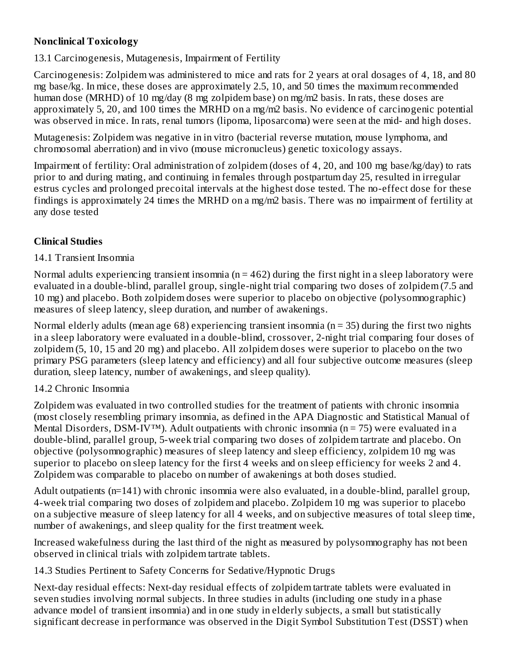### **Nonclinical Toxicology**

13.1 Carcinogenesis, Mutagenesis, Impairment of Fertility

Carcinogenesis: Zolpidem was administered to mice and rats for 2 years at oral dosages of 4, 18, and 80 mg base/kg. In mice, these doses are approximately 2.5, 10, and 50 times the maximum recommended human dose (MRHD) of 10 mg/day (8 mg zolpidem base) on mg/m2 basis. In rats, these doses are approximately 5, 20, and 100 times the MRHD on a mg/m2 basis. No evidence of carcinogenic potential was observed in mice. In rats, renal tumors (lipoma, liposarcoma) were seen at the mid- and high doses.

Mutagenesis: Zolpidem was negative in in vitro (bacterial reverse mutation, mouse lymphoma, and chromosomal aberration) and in vivo (mouse micronucleus) genetic toxicology assays.

Impairment of fertility: Oral administration of zolpidem (doses of 4, 20, and 100 mg base/kg/day) to rats prior to and during mating, and continuing in females through postpartum day 25, resulted in irregular estrus cycles and prolonged precoital intervals at the highest dose tested. The no-effect dose for these findings is approximately 24 times the MRHD on a mg/m2 basis. There was no impairment of fertility at any dose tested

### **Clinical Studies**

### 14.1 Transient Insomnia

Normal adults experiencing transient insomnia ( $n = 462$ ) during the first night in a sleep laboratory were evaluated in a double-blind, parallel group, single-night trial comparing two doses of zolpidem (7.5 and 10 mg) and placebo. Both zolpidem doses were superior to placebo on objective (polysomnographic) measures of sleep latency, sleep duration, and number of awakenings.

Normal elderly adults (mean age 68) experiencing transient insomnia ( $n = 35$ ) during the first two nights in a sleep laboratory were evaluated in a double-blind, crossover, 2-night trial comparing four doses of zolpidem (5, 10, 15 and 20 mg) and placebo. All zolpidem doses were superior to placebo on the two primary PSG parameters (sleep latency and efficiency) and all four subjective outcome measures (sleep duration, sleep latency, number of awakenings, and sleep quality).

#### 14.2 Chronic Insomnia

Zolpidem was evaluated in two controlled studies for the treatment of patients with chronic insomnia (most closely resembling primary insomnia, as defined in the APA Diagnostic and Statistical Manual of Mental Disorders, DSM-IV<sup>™</sup>). Adult outpatients with chronic insomnia ( $n = 75$ ) were evaluated in a double-blind, parallel group, 5-week trial comparing two doses of zolpidem tartrate and placebo. On objective (polysomnographic) measures of sleep latency and sleep efficiency, zolpidem 10 mg was superior to placebo on sleep latency for the first 4 weeks and on sleep efficiency for weeks 2 and 4. Zolpidem was comparable to placebo on number of awakenings at both doses studied.

Adult outpatients (n=141) with chronic insomnia were also evaluated, in a double-blind, parallel group, 4-week trial comparing two doses of zolpidem and placebo. Zolpidem 10 mg was superior to placebo on a subjective measure of sleep latency for all 4 weeks, and on subjective measures of total sleep time, number of awakenings, and sleep quality for the first treatment week.

Increased wakefulness during the last third of the night as measured by polysomnography has not been observed in clinical trials with zolpidem tartrate tablets.

14.3 Studies Pertinent to Safety Concerns for Sedative/Hypnotic Drugs

Next-day residual effects: Next-day residual effects of zolpidem tartrate tablets were evaluated in seven studies involving normal subjects. In three studies in adults (including one study in a phase advance model of transient insomnia) and in one study in elderly subjects, a small but statistically significant decrease in performance was observed in the Digit Symbol Substitution Test (DSST) when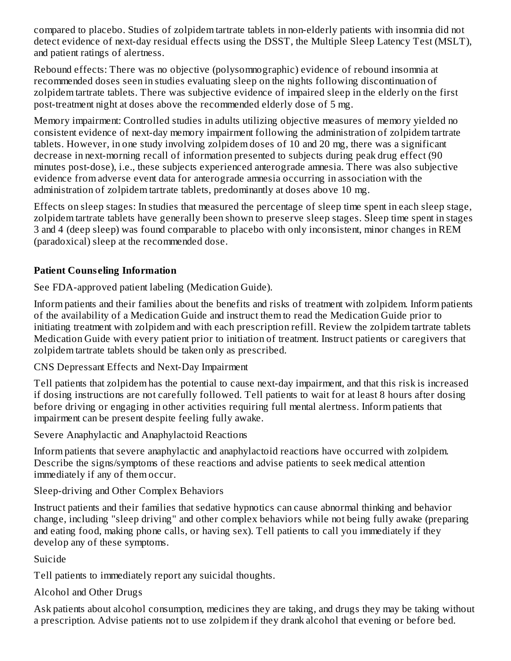compared to placebo. Studies of zolpidem tartrate tablets in non-elderly patients with insomnia did not detect evidence of next-day residual effects using the DSST, the Multiple Sleep Latency Test (MSLT), and patient ratings of alertness.

Rebound effects: There was no objective (polysomnographic) evidence of rebound insomnia at recommended doses seen in studies evaluating sleep on the nights following discontinuation of zolpidem tartrate tablets. There was subjective evidence of impaired sleep in the elderly on the first post-treatment night at doses above the recommended elderly dose of 5 mg.

Memory impairment: Controlled studies in adults utilizing objective measures of memory yielded no consistent evidence of next-day memory impairment following the administration of zolpidem tartrate tablets. However, in one study involving zolpidem doses of 10 and 20 mg, there was a significant decrease in next-morning recall of information presented to subjects during peak drug effect (90 minutes post-dose), i.e., these subjects experienced anterograde amnesia. There was also subjective evidence from adverse event data for anterograde amnesia occurring in association with the administration of zolpidem tartrate tablets, predominantly at doses above 10 mg.

Effects on sleep stages: In studies that measured the percentage of sleep time spent in each sleep stage, zolpidem tartrate tablets have generally been shown to preserve sleep stages. Sleep time spent in stages 3 and 4 (deep sleep) was found comparable to placebo with only inconsistent, minor changes in REM (paradoxical) sleep at the recommended dose.

### **Patient Couns eling Information**

See FDA-approved patient labeling (Medication Guide).

Inform patients and their families about the benefits and risks of treatment with zolpidem. Inform patients of the availability of a Medication Guide and instruct them to read the Medication Guide prior to initiating treatment with zolpidem and with each prescription refill. Review the zolpidem tartrate tablets Medication Guide with every patient prior to initiation of treatment. Instruct patients or caregivers that zolpidem tartrate tablets should be taken only as prescribed.

### CNS Depressant Effects and Next-Day Impairment

Tell patients that zolpidem has the potential to cause next-day impairment, and that this risk is increased if dosing instructions are not carefully followed. Tell patients to wait for at least 8 hours after dosing before driving or engaging in other activities requiring full mental alertness. Inform patients that impairment can be present despite feeling fully awake.

Severe Anaphylactic and Anaphylactoid Reactions

Inform patients that severe anaphylactic and anaphylactoid reactions have occurred with zolpidem. Describe the signs/symptoms of these reactions and advise patients to seek medical attention immediately if any of them occur.

Sleep-driving and Other Complex Behaviors

Instruct patients and their families that sedative hypnotics can cause abnormal thinking and behavior change, including "sleep driving" and other complex behaviors while not being fully awake (preparing and eating food, making phone calls, or having sex). Tell patients to call you immediately if they develop any of these symptoms.

Suicide

Tell patients to immediately report any suicidal thoughts.

Alcohol and Other Drugs

Ask patients about alcohol consumption, medicines they are taking, and drugs they may be taking without a prescription. Advise patients not to use zolpidem if they drank alcohol that evening or before bed.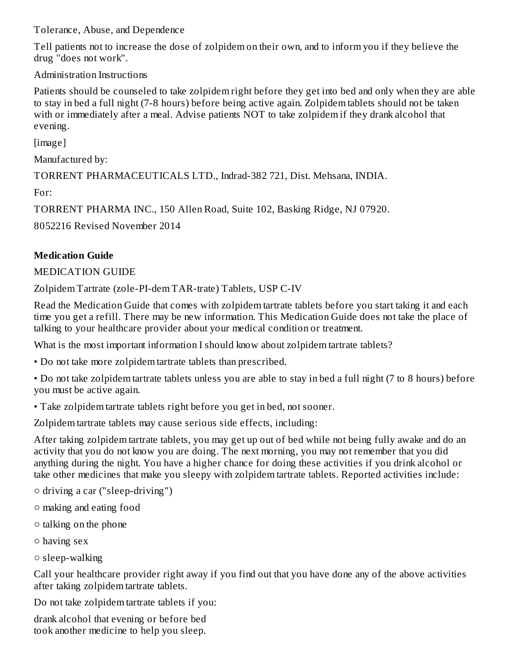Tolerance, Abuse, and Dependence

Tell patients not to increase the dose of zolpidem on their own, and to inform you if they believe the drug "does not work".

Administration Instructions

Patients should be counseled to take zolpidem right before they get into bed and only when they are able to stay in bed a full night (7-8 hours) before being active again. Zolpidem tablets should not be taken with or immediately after a meal. Advise patients NOT to take zolpidem if they drank alcohol that evening.

[image]

Manufactured by:

TORRENT PHARMACEUTICALS LTD., Indrad-382 721, Dist. Mehsana, INDIA.

For:

TORRENT PHARMA INC., 150 Allen Road, Suite 102, Basking Ridge, NJ 07920.

8052216 Revised November 2014

# **Medication Guide**

### MEDICATION GUIDE

Zolpidem Tartrate (zole-PI-dem TAR-trate) Tablets, USP C-IV

Read the Medication Guide that comes with zolpidem tartrate tablets before you start taking it and each time you get a refill. There may be new information. This Medication Guide does not take the place of talking to your healthcare provider about your medical condition or treatment.

What is the most important information I should know about zolpidem tartrate tablets?

• Do not take more zolpidem tartrate tablets than prescribed.

• Do not take zolpidem tartrate tablets unless you are able to stay in bed a full night (7 to 8 hours) before you must be active again.

• Take zolpidem tartrate tablets right before you get in bed, not sooner.

Zolpidem tartrate tablets may cause serious side effects, including:

After taking zolpidem tartrate tablets, you may get up out of bed while not being fully awake and do an activity that you do not know you are doing. The next morning, you may not remember that you did anything during the night. You have a higher chance for doing these activities if you drink alcohol or take other medicines that make you sleepy with zolpidem tartrate tablets. Reported activities include:

- driving a car ("sleep-driving")
- making and eating food
- talking on the phone
- having sex
- sleep-walking

Call your healthcare provider right away if you find out that you have done any of the above activities after taking zolpidem tartrate tablets.

Do not take zolpidem tartrate tablets if you:

drank alcohol that evening or before bed took another medicine to help you sleep.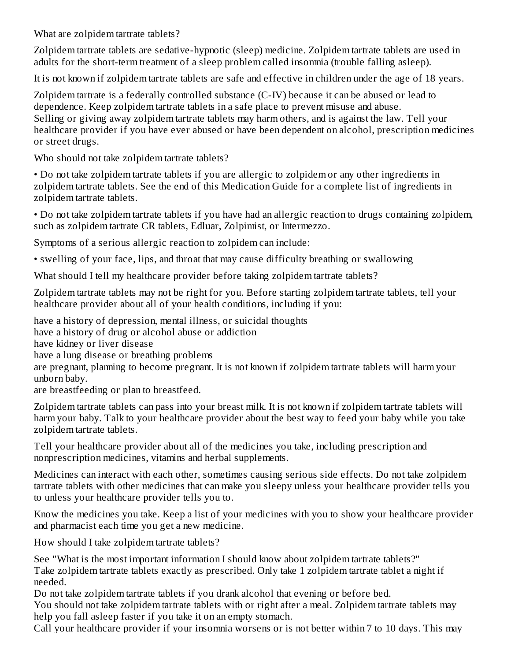What are zolpidem tartrate tablets?

Zolpidem tartrate tablets are sedative-hypnotic (sleep) medicine. Zolpidem tartrate tablets are used in adults for the short-term treatment of a sleep problem called insomnia (trouble falling asleep).

It is not known if zolpidem tartrate tablets are safe and effective in children under the age of 18 years.

Zolpidem tartrate is a federally controlled substance (C-IV) because it can be abused or lead to dependence. Keep zolpidem tartrate tablets in a safe place to prevent misuse and abuse. Selling or giving away zolpidem tartrate tablets may harm others, and is against the law. Tell your healthcare provider if you have ever abused or have been dependent on alcohol, prescription medicines or street drugs.

Who should not take zolpidem tartrate tablets?

• Do not take zolpidem tartrate tablets if you are allergic to zolpidem or any other ingredients in zolpidem tartrate tablets. See the end of this Medication Guide for a complete list of ingredients in zolpidem tartrate tablets.

• Do not take zolpidem tartrate tablets if you have had an allergic reaction to drugs containing zolpidem, such as zolpidem tartrate CR tablets, Edluar, Zolpimist, or Intermezzo.

Symptoms of a serious allergic reaction to zolpidem can include:

• swelling of your face, lips, and throat that may cause difficulty breathing or swallowing

What should I tell my healthcare provider before taking zolpidem tartrate tablets?

Zolpidem tartrate tablets may not be right for you. Before starting zolpidem tartrate tablets, tell your healthcare provider about all of your health conditions, including if you:

have a history of depression, mental illness, or suicidal thoughts

have a history of drug or alcohol abuse or addiction

have kidney or liver disease

have a lung disease or breathing problems

are pregnant, planning to become pregnant. It is not known if zolpidem tartrate tablets will harm your unborn baby.

are breastfeeding or plan to breastfeed.

Zolpidem tartrate tablets can pass into your breast milk. It is not known if zolpidem tartrate tablets will harm your baby. Talk to your healthcare provider about the best way to feed your baby while you take zolpidem tartrate tablets.

Tell your healthcare provider about all of the medicines you take, including prescription and nonprescription medicines, vitamins and herbal supplements.

Medicines can interact with each other, sometimes causing serious side effects. Do not take zolpidem tartrate tablets with other medicines that can make you sleepy unless your healthcare provider tells you to unless your healthcare provider tells you to.

Know the medicines you take. Keep a list of your medicines with you to show your healthcare provider and pharmacist each time you get a new medicine.

How should I take zolpidem tartrate tablets?

See "What is the most important information I should know about zolpidem tartrate tablets?" Take zolpidem tartrate tablets exactly as prescribed. Only take 1 zolpidem tartrate tablet a night if needed.

Do not take zolpidem tartrate tablets if you drank alcohol that evening or before bed.

You should not take zolpidem tartrate tablets with or right after a meal. Zolpidem tartrate tablets may help you fall asleep faster if you take it on an empty stomach.

Call your healthcare provider if your insomnia worsens or is not better within 7 to 10 days. This may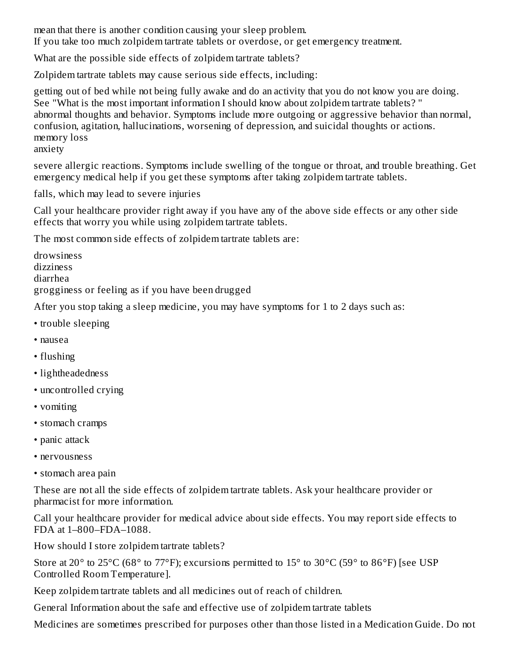mean that there is another condition causing your sleep problem. If you take too much zolpidem tartrate tablets or overdose, or get emergency treatment.

What are the possible side effects of zolpidem tartrate tablets?

Zolpidem tartrate tablets may cause serious side effects, including:

getting out of bed while not being fully awake and do an activity that you do not know you are doing. See "What is the most important information I should know about zolpidem tartrate tablets? " abnormal thoughts and behavior. Symptoms include more outgoing or aggressive behavior than normal, confusion, agitation, hallucinations, worsening of depression, and suicidal thoughts or actions. memory loss anxiety

severe allergic reactions. Symptoms include swelling of the tongue or throat, and trouble breathing. Get emergency medical help if you get these symptoms after taking zolpidem tartrate tablets.

falls, which may lead to severe injuries

Call your healthcare provider right away if you have any of the above side effects or any other side effects that worry you while using zolpidem tartrate tablets.

The most common side effects of zolpidem tartrate tablets are:

drowsiness dizziness diarrhea grogginess or feeling as if you have been drugged

After you stop taking a sleep medicine, you may have symptoms for 1 to 2 days such as:

- trouble sleeping
- nausea
- flushing
- lightheadedness
- uncontrolled crying
- vomiting
- stomach cramps
- panic attack
- nervousness
- stomach area pain

These are not all the side effects of zolpidem tartrate tablets. Ask your healthcare provider or pharmacist for more information.

Call your healthcare provider for medical advice about side effects. You may report side effects to FDA at 1–800–FDA–1088.

How should I store zolpidem tartrate tablets?

Store at 20 $^{\circ}$  to 25 $^{\circ}$ C (68 $^{\circ}$  to 77 $^{\circ}$ F); excursions permitted to 15 $^{\circ}$  to 30 $^{\circ}$ C (59 $^{\circ}$  to 86 $^{\circ}$ F) [see USP Controlled Room Temperature].

Keep zolpidem tartrate tablets and all medicines out of reach of children.

General Information about the safe and effective use of zolpidem tartrate tablets

Medicines are sometimes prescribed for purposes other than those listed in a Medication Guide. Do not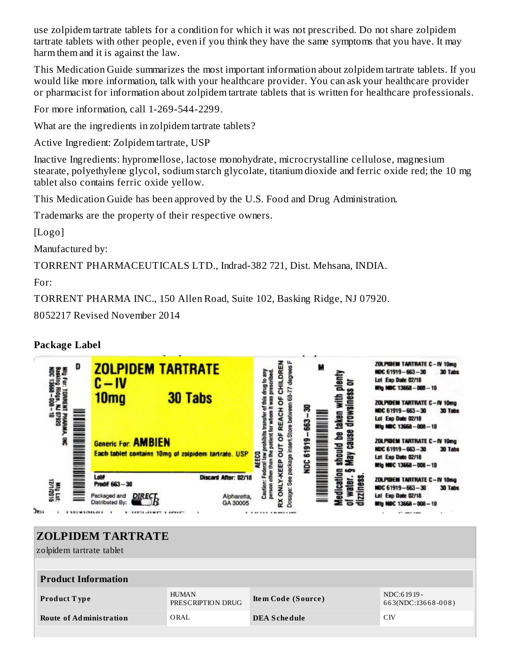use zolpidem tartrate tablets for a condition for which it was not prescribed. Do not share zolpidem tartrate tablets with other people, even if you think they have the same symptoms that you have. It may harm them and it is against the law.

This Medication Guide summarizes the most important information about zolpidem tartrate tablets. If you would like more information, talk with your healthcare provider. You can ask your healthcare provider or pharmacist for information about zolpidem tartrate tablets that is written for healthcare professionals.

For more information, call 1-269-544-2299.

What are the ingredients in zolpidem tartrate tablets?

Active Ingredient: Zolpidem tartrate, USP

Inactive Ingredients: hypromellose, lactose monohydrate, microcrystalline cellulose, magnesium stearate, polyethylene glycol, sodium starch glycolate, titanium dioxide and ferric oxide red; the 10 mg tablet also contains ferric oxide yellow.

This Medication Guide has been approved by the U.S. Food and Drug Administration.

Trademarks are the property of their respective owners.

[Logo]

Manufactured by:

TORRENT PHARMACEUTICALS LTD., Indrad-382 721, Dist. Mehsana, INDIA.

For:

TORRENT PHARMA INC., 150 Allen Road, Suite 102, Basking Ridge, NJ 07920.

8052217 Revised November 2014

### **Package Label**



# **ZOLPIDEM TARTRATE**

zolpidem tartrate tablet

| <b>Product Information</b>     |                                   |                     |                                  |  |  |  |
|--------------------------------|-----------------------------------|---------------------|----------------------------------|--|--|--|
| <b>Product Type</b>            | <b>HUMAN</b><br>PRESCRIPTION DRUG | Item Code (Source)  | NDC:61919-<br>663(NDC:13668-008) |  |  |  |
| <b>Route of Administration</b> | ORAL                              | <b>DEA Schedule</b> | CIV                              |  |  |  |